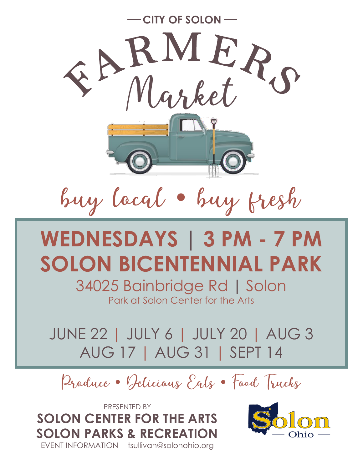

buy local · buy fresh

## **WEDNESDAYS | 3 PM - 7 PM SOLON BICENTENNIAL PARK**

34025 Bainbridge Rd **|** Solon Park at Solon Center for the Arts

JUNE 22 | JULY 6 | JULY 20 | AUG 3 AUG 17 | AUG 31 | SEPT 14

Produce • Pelicious Eats • Food Trucks

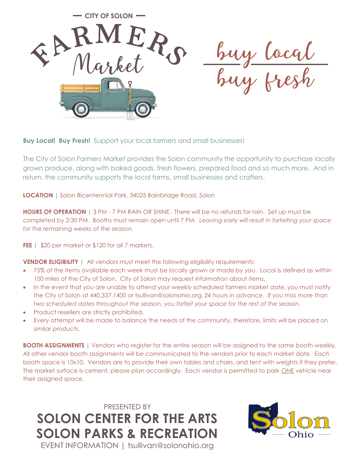

**Buy Local! Buy Fresh!** Support your local farmers and small businesses!

The City of Solon Farmers Market provides the Solon community the opportunity to purchase locally grown produce, along with baked goods, fresh flowers, prepared food and so much more. And in return, the community supports the local farms, small businesses and crafters.

**LOCATION |** Solon Bicentennial Park, 34025 Bainbridge Road, Solon

**HOURS OF OPERATION |** 3 PM - 7 PM RAIN OR SHINE. There will be no refunds for rain. Set up must be completed by 2:30 PM. Booths must remain open until 7 PM. *Leaving early will result in forfeiting your space for the remaining weeks of the season.*

FEE | \$20 per market or \$120 for all 7 markets.

**VENDOR ELIGIBILITY** | All vendors must meet the following eligibility requirements:

- 75% of the items available each week must be locally grown or made by you. Local is defined as within 100 miles of the City of Solon. City of Solon may request information about items.
- In the event that you are unable to attend your weekly scheduled farmers market date, you must notify the City of Solon at 440.337.1400 or tsullivan@solonohio.org, *24 hours in advance. If you miss more than two scheduled dates throughout the season, you forfeit your space for the rest of the season.*
- Product resellers are strictly prohibited.
- Every attempt will be made to balance the needs of the community, therefore, limits will be placed on similar products.

**BOOTH ASSIGNMENTS |** Vendors who register for the entire season will be assigned to the same booth weekly. All other vendor booth assignments will be communicated to the vendors prior to each market date. Each booth space is 10x10. Vendors are to provide their own tables and chairs, and tent with weights if they prefer. The market surface is cement, please plan accordingly. Each vendor is permitted to park ONE vehicle near their assigned space.

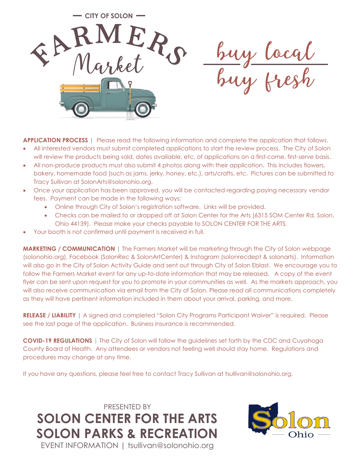**CITY OF SOLON** buy local<br>buy fresh

**APPLICATION PROCESS |** Please read the following information and complete the application that follows.

- All interested vendors must submit completed applications to start the review process. The City of Solon will review the products being sold, dates available, etc. of applications on a first-come, first-serve basis.
- All non-produce products must also submit 4 photos along with their application. This includes flowers, bakery, homemade food (such as jams, jerky, honey, etc.), arts/crafts, etc. Pictures can be submitted to Tracy Sullivan at SolonArts@solonohio.org.
- Once your application has been approved, you will be contacted regarding paying necessary vendor fees. Payment can be made in the following ways:
	- Online through City of Solon's registration software. Links will be provided.
	- Checks can be mailed to or dropped off at Solon Center for the Arts (6315 SOM Center Rd, Solon, Ohio 44139). Please make your checks payable to SOLON CENTER FOR THE ARTS.
- Your booth is not confirmed until payment is received in full.

**MARKETING / COMMUNICATION |** The Farmers Market will be marketing through the City of Solon webpage (solonohio.org), Facebook (SolonRec & SolonArtCenter) & Instagram (solonrecdept & solonarts). Information will also go in the City of Solon Activity Guide and sent out through City of Solon Eblast. We encourage you to follow the Farmers Market event for any up-to-date information that may be released. A copy of the event flyer can be sent upon request for you to promote in your communities as well. As the markets approach, you will also receive communication via email from the City of Solon. Please read all communications completely as they will have pertinent information included in them about your arrival, parking, and more.

**RELEASE / LIABILITY |** A signed and completed "Solon City Programs Participant Waiver" is required. Please see the last page of the application. Business insurance is recommended.

**COVID-19 REGULATIONS** | The City of Solon will follow the guidelines set forth by the CDC and Cuyahoga County Board of Health. Any attendees or vendors not feeling well should stay home. Regulations and procedures may change at any time.

If you have any questions, please feel free to contact Tracy Sullivan at tsullivan@solonohio.org.

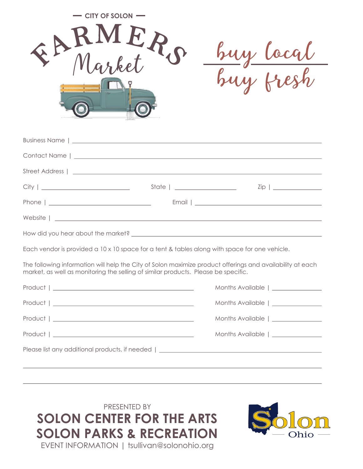| <b>CITY OF SOLON</b><br>EARMERO | buy local<br>y fresh |
|---------------------------------|----------------------|
| Business Name   _               |                      |
| Contact Name                    |                      |

Each vendor is provided a 10 x 10 space for a tent & tables along with space for one vehicle.

The following information will help the City of Solon maximize product offerings and availability at each market, as well as monitoring the selling of similar products. Please be specific.

| $Product 1 \underline{\hspace{1cm}} \underline{\hspace{1cm}}$ | Months Available   _______________ |  |  |  |
|---------------------------------------------------------------|------------------------------------|--|--|--|
| $Product 1 \_{}{}$                                            | Months Available   ______________  |  |  |  |
|                                                               | Months Available   ______________  |  |  |  |
| $Product \mid \_$                                             | Months Available   ______________  |  |  |  |
|                                                               |                                    |  |  |  |
|                                                               |                                    |  |  |  |

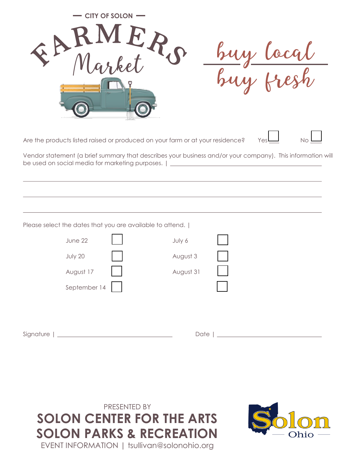| EARMER,                                                                                                        | <b>CITY OF SOLON</b> |                                                                                                                                                                                             | cy local |           |
|----------------------------------------------------------------------------------------------------------------|----------------------|---------------------------------------------------------------------------------------------------------------------------------------------------------------------------------------------|----------|-----------|
| be used on social media for marketing purposes.                                                                |                      | Are the products listed raised or produced on your farm or at your residence?<br>Vendor statement (a brief summary that describes your business and/or your company). This information will | Yes      | <b>No</b> |
| Please select the dates that you are available to attend.  <br>June 22<br>July 20<br>August 17<br>September 14 |                      | July 6<br>August 3<br>August 31                                                                                                                                                             |          |           |
|                                                                                                                |                      |                                                                                                                                                                                             |          |           |